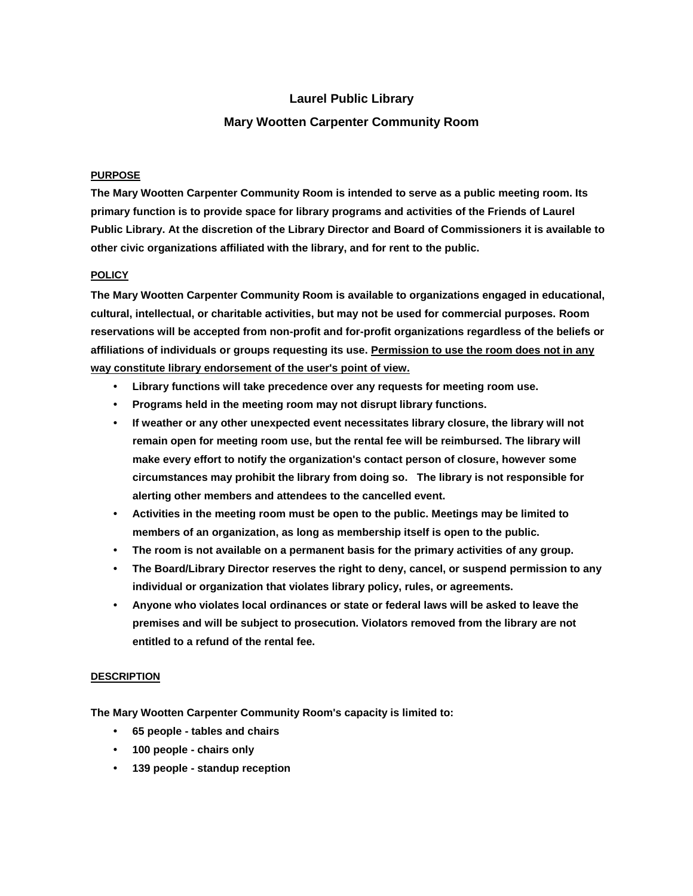# **Laurel Public Library**

## **Mary Wootten Carpenter Community Room**

#### **PURPOSE**

**The Mary Wootten Carpenter Community Room is intended to serve as a public meeting room. Its primary function is to provide space for library programs and activities of the Friends of Laurel Public Library. At the discretion of the Library Director and Board of Commissioners it is available to other civic organizations affiliated with the library, and for rent to the public.**

#### **POLICY**

**The Mary Wootten Carpenter Community Room is available to organizations engaged in educational, cultural, intellectual, or charitable activities, but may not be used for commercial purposes. Room reservations will be accepted from non-profit and for-profit organizations regardless of the beliefs or affiliations of individuals or groups requesting its use. Permission to use the room does not in any way constitute library endorsement of the user's point of view.**

- **• Library functions will take precedence over any requests for meeting room use.**
- **• Programs held in the meeting room may not disrupt library functions.**
- **• If weather or any other unexpected event necessitates library closure, the library will not remain open for meeting room use, but the rental fee will be reimbursed. The library will make every effort to notify the organization's contact person of closure, however some circumstances may prohibit the library from doing so. The library is not responsible for alerting other members and attendees to the cancelled event.**
- **• Activities in the meeting room must be open to the public. Meetings may be limited to members of an organization, as long as membership itself is open to the public.**
- **• The room is not available on a permanent basis for the primary activities of any group.**
- **• The Board/Library Director reserves the right to deny, cancel, or suspend permission to any individual or organization that violates library policy, rules, or agreements.**
- **• Anyone who violates local ordinances or state or federal laws will be asked to leave the premises and will be subject to prosecution. Violators removed from the library are not entitled to a refund of the rental fee.**

#### **DESCRIPTION**

**The Mary Wootten Carpenter Community Room's capacity is limited to:**

- **• 65 people - tables and chairs**
- **• 100 people - chairs only**
- **• 139 people - standup reception**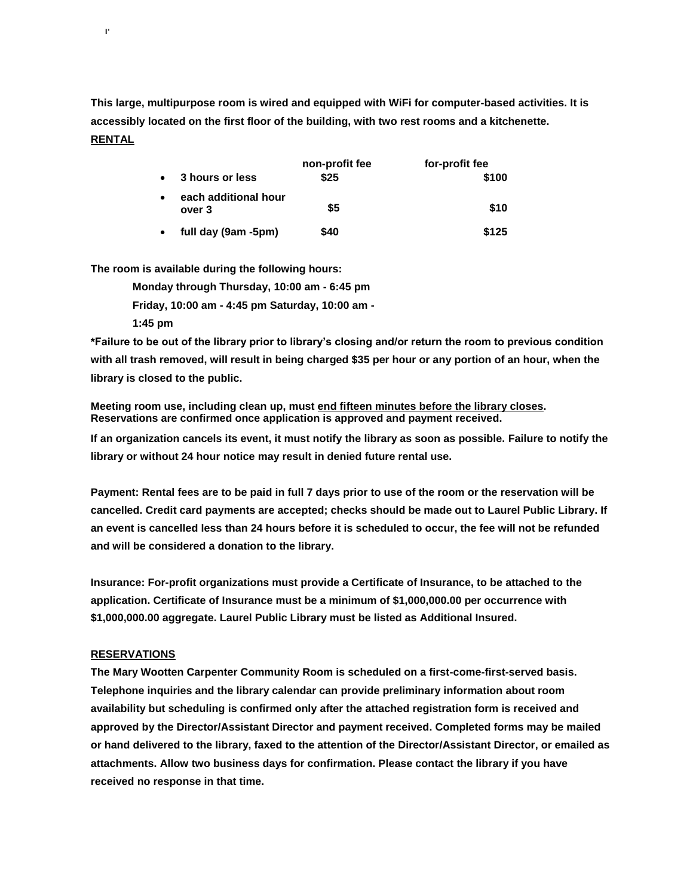**This large, multipurpose room is wired and equipped with WiFi for computer-based activities. It is accessibly located on the first floor of the building, with two rest rooms and a kitchenette. RENTAL**

| 3 hours or less                | non-profit fee<br>\$25 | for-profit fee<br>\$100 |
|--------------------------------|------------------------|-------------------------|
| each additional hour<br>over 3 | \$5                    | \$10                    |
| full day (9am -5pm)            | \$40                   | \$125                   |

**The room is available during the following hours:**

**Monday through Thursday, 10:00 am - 6:45 pm Friday, 10:00 am - 4:45 pm Saturday, 10:00 am - 1:45 pm**

**\*Failure to be out of the library prior to library's closing and/or return the room to previous condition with all trash removed, will result in being charged \$35 per hour or any portion of an hour, when the library is closed to the public.**

**Meeting room use, including clean up, must end fifteen minutes before the library closes. Reservations are confirmed once application is approved and payment received.**

**If an organization cancels its event, it must notify the library as soon as possible. Failure to notify the library or without 24 hour notice may result in denied future rental use.**

**Payment: Rental fees are to be paid in full 7 days prior to use of the room or the reservation will be cancelled. Credit card payments are accepted; checks should be made out to Laurel Public Library. If an event is cancelled less than 24 hours before it is scheduled to occur, the fee will not be refunded and will be considered a donation to the library.**

**Insurance: For-profit organizations must provide a Certificate of Insurance, to be attached to the application. Certificate of Insurance must be a minimum of \$1,000,000.00 per occurrence with \$1,000,000.00 aggregate. Laurel Public Library must be listed as Additional Insured.**

### **RESERVATIONS**

**I'**

**The Mary Wootten Carpenter Community Room is scheduled on a first-come-first-served basis. Telephone inquiries and the library calendar can provide preliminary information about room availability but scheduling is confirmed only after the attached registration form is received and approved by the Director/Assistant Director and payment received. Completed forms may be mailed or hand delivered to the library, faxed to the attention of the Director/Assistant Director, or emailed as attachments. Allow two business days for confirmation. Please contact the library if you have received no response in that time.**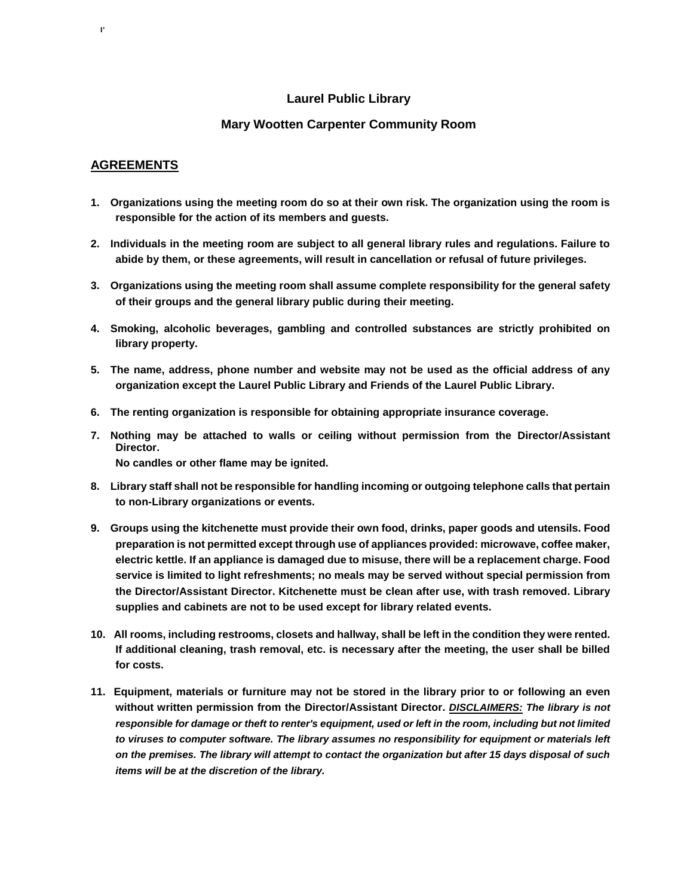# **Laurel Public Library**

### **Mary Wootten Carpenter Community Room**

### **AGREEMENTS**

**I'**

- **1. Organizations using the meeting room do so at their own risk. The organization using the room is responsible for the action of its members and guests.**
- **2. Individuals in the meeting room are subject to all general library rules and regulations. Failure to abide by them, or these agreements, will result in cancellation or refusal of future privileges.**
- **3. Organizations using the meeting room shall assume complete responsibility for the general safety of their groups and the general library public during their meeting.**
- **4. Smoking, alcoholic beverages, gambling and controlled substances are strictly prohibited on library property.**
- **5. The name, address, phone number and website may not be used as the official address of any organization except the Laurel Public Library and Friends of the Laurel Public Library.**
- **6. The renting organization is responsible for obtaining appropriate insurance coverage.**
- **7. Nothing may be attached to walls or ceiling without permission from the Director/Assistant Director. No candles or other flame may be ignited.**
- **8. Library staff shall not be responsible for handling incoming or outgoing telephone calls that pertain to non-Library organizations or events.**
- **9. Groups using the kitchenette must provide their own food, drinks, paper goods and utensils. Food preparation is not permitted except through use of appliances provided: microwave, coffee maker, electric kettle. If an appliance is damaged due to misuse, there will be a replacement charge. Food service is limited to light refreshments; no meals may be served without special permission from the Director/Assistant Director. Kitchenette must be clean after use, with trash removed. Library supplies and cabinets are not to be used except for library related events.**
- **10. All rooms, including restrooms, closets and hallway, shall be left in the condition they were rented. If additional cleaning, trash removal, etc. is necessary after the meeting, the user shall be billed for costs.**
- **11. Equipment, materials or furniture may not be stored in the library prior to or following an even without written permission from the Director/Assistant Director.** *DISCLAIMERS: The library is not responsible for damage or theft to renter's equipment, used or left in the room, including but not limited to viruses to computer software. The library assumes no responsibility for equipment or materials left on the premises. The library will attempt to contact the organization but after 15 days disposal of such items will be at the discretion of the library.*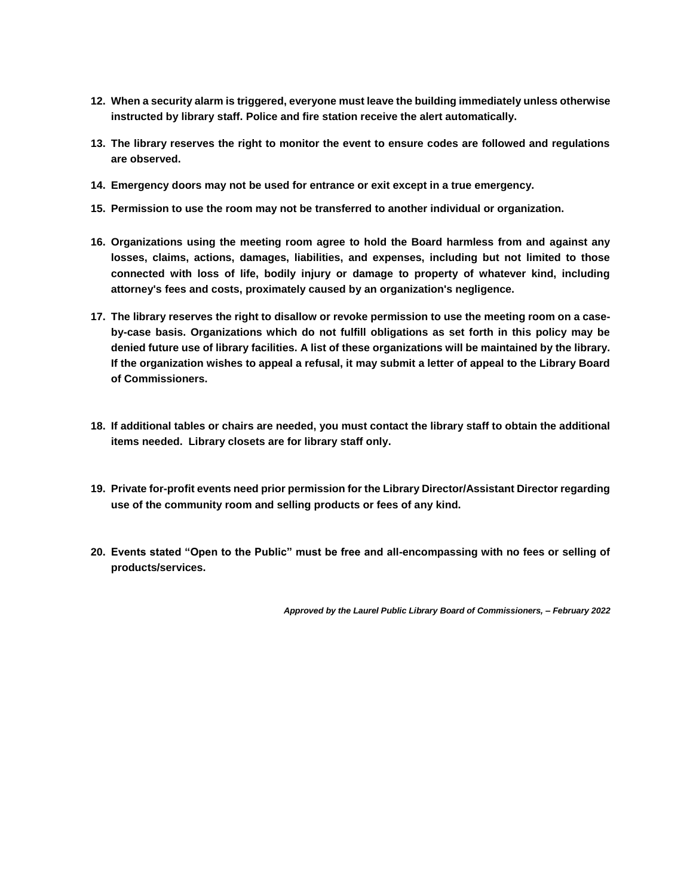- **12. When a security alarm is triggered, everyone must leave the building immediately unless otherwise instructed by library staff. Police and fire station receive the alert automatically.**
- **13. The library reserves the right to monitor the event to ensure codes are followed and regulations are observed.**
- **14. Emergency doors may not be used for entrance or exit except in a true emergency.**
- **15. Permission to use the room may not be transferred to another individual or organization.**
- **16. Organizations using the meeting room agree to hold the Board harmless from and against any losses, claims, actions, damages, liabilities, and expenses, including but not limited to those connected with loss of life, bodily injury or damage to property of whatever kind, including attorney's fees and costs, proximately caused by an organization's negligence.**
- **17. The library reserves the right to disallow or revoke permission to use the meeting room on a caseby-case basis. Organizations which do not fulfill obligations as set forth in this policy may be denied future use of library facilities. A list of these organizations will be maintained by the library. If the organization wishes to appeal a refusal, it may submit a letter of appeal to the Library Board of Commissioners.**
- **18. If additional tables or chairs are needed, you must contact the library staff to obtain the additional items needed. Library closets are for library staff only.**
- **19. Private for-profit events need prior permission for the Library Director/Assistant Director regarding use of the community room and selling products or fees of any kind.**
- **20. Events stated "Open to the Public" must be free and all-encompassing with no fees or selling of products/services.**

*Approved by the Laurel Public Library Board of Commissioners, – February 2022*